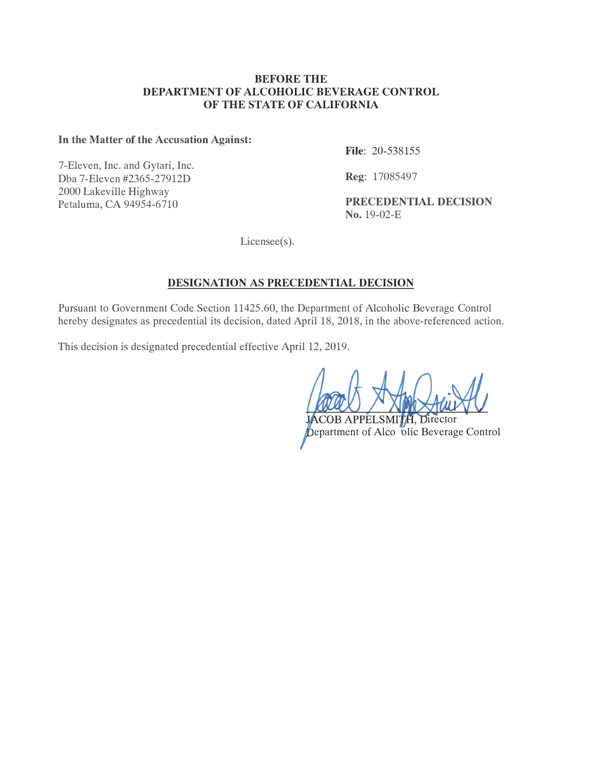#### **BEFORE THE DEPARTMENT OF ALCOHOLIC BEVERAGE CONTROL OF THE STATE OF CALIFORNIA**

### In the Matter of the Accusation Against:

7-Eleven, Inc. and Gytari, Inc. Dba 7-Eleven #2365-27912 2000 Lakeville Highway

**File**:  $20-538155$ 

**Reg:** 17085497

Petaluma, CA 94954-6710 PRECEDENTIAL DECISION  $\textbf{No. } 19 - 02 - E$ 

 $License(s)$ .

# **DESIGNATION AS PRECEDENTIAL DECISION**

Pursuant to Government Code Section 11425.60, the Department of Alcoholic Beverage Control hereby designates as precedential its decision, dated April 18, 2018, in the above-referenced action.

This decision is designated precedential effective April 12, 2019.

**APPEI SMI** Director bepartment of Alco olic Beverage Control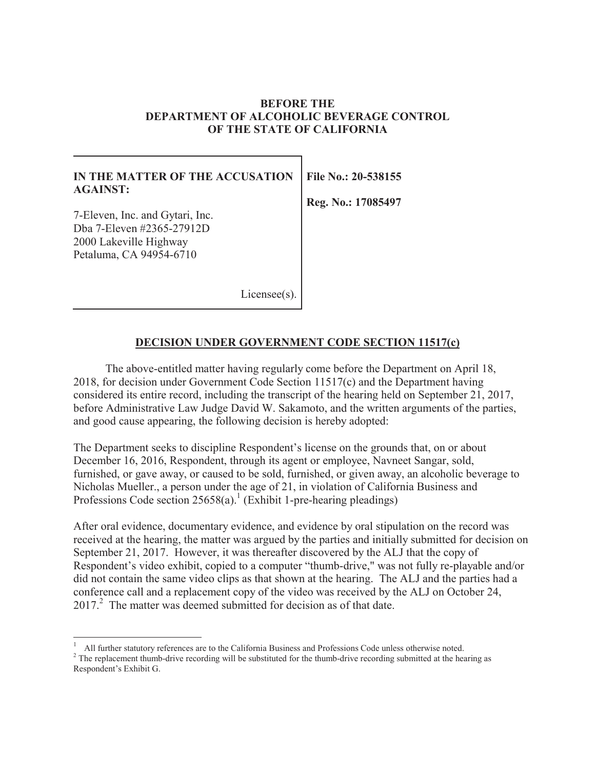#### **BEFORE THE DEPARTMENT OF ALCOHOLIC BEVERAGE CONTROL OF THE STATE OF CALIFORNIA**

### **IN THE MATTER OF THE ACCUSATION AGAINST:**

7-Eleven, Inc. and Gytari, Inc. Dba 7-Eleven #2365-27912D 2000 Lakeville Highway Petaluma, CA 94954-6710

**File No.: 20-538155** 

**Reg. No.: 17085497** 

Licensee(s)

### **DECISION UNDER GOVERNMENT CODE SECTION 11517(c)**

The above-entitled matter having regularly come before the Department on April 18, 2018, for decision under Government Code Section 11517(c) and the Department having considered its entire record, including the transcript of the hearing held on September 21, 2017, before Administrative Law Judge David W. Sakamoto, and the written arguments of the parties, and good cause appearing, the following decision is hereby adopted:

The Department seeks to discipline Respondent's license on the grounds that, on or about December 16, 2016, Respondent, through its agent or employee, Navneet Sangar, sold, furnished, or gave away, or caused to be sold, furnished, or given away, an alcoholic beverage to Nicholas Mueller., a person under the age of 21, in violation of California Business and Professions Code section  $25658(a)$ .<sup>1</sup> (Exhibit 1-pre-hearing pleadings)

After oral evidence, documentary evidence, and evidence by oral stipulation on the record was received at the hearing, the matter was argued by the parties and initially submitted for decision on September 21, 2017. However, it was thereafter discovered by the ALJ that the copy of Respondent's video exhibit, copied to a computer "thumb-drive," was not fully re-playable and/or did not contain the same video clips as that shown at the hearing. The ALJ and the parties had a conference call and a replacement copy of the video was received by the ALJ on October 24,  $2017<sup>2</sup>$ . The matter was deemed submitted for decision as of that date.

<sup>&</sup>lt;sup>1</sup> All further statutory references are to the California Business and Professions Code unless otherwise noted.<br><sup>2</sup> The replacement thumb-drive recording will be substituted for the thumb-drive recording submitted at the 1

Respondent's Exhibit G.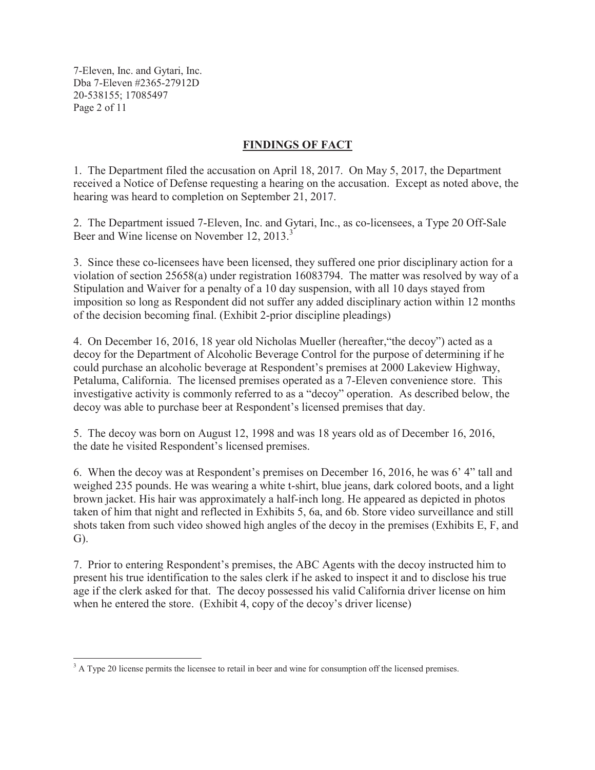7-Eleven, Inc. and Gytari, Inc. Dba 7-Eleven #2365-27912D 20-538155; 17085497 Page 2 of 11

# **FINDINGS OF FACT**

1. The Department filed the accusation on April 18, 2017. On May 5, 2017, the Department received a Notice of Defense requesting a hearing on the accusation. Except as noted above, the hearing was heard to completion on September 21, 2017.

2. The Department issued 7-Eleven, Inc. and Gytari, Inc., as co-licensees, a Type 20 Off-Sale Beer and Wine license on November 12, 2013.<sup>3</sup>

3. Since these co-licensees have been licensed, they suffered one prior disciplinary action for a violation of section 25658(a) under registration 16083794. The matter was resolved by way of a Stipulation and Waiver for a penalty of a 10 day suspension, with all 10 days stayed from imposition so long as Respondent did not suffer any added disciplinary action within 12 months of the decision becoming final. (Exhibit 2-prior discipline pleadings)

4. On December 16, 2016, 18 year old Nicholas Mueller (hereafter,"the decoy") acted as a decoy for the Department of Alcoholic Beverage Control for the purpose of determining if he could purchase an alcoholic beverage at Respondent's premises at 2000 Lakeview Highway, Petaluma, California. The licensed premises operated as a 7-Eleven convenience store. This investigative activity is commonly referred to as a "decoy" operation. As described below, the decoy was able to purchase beer at Respondent's licensed premises that day.

5. The decoy was born on August 12, 1998 and was 18 years old as of December 16, 2016, the date he visited Respondent's licensed premises.

6. When the decoy was at Respondent's premises on December 16, 2016, he was 6' 4" tall and weighed 235 pounds. He was wearing a white t-shirt, blue jeans, dark colored boots, and a light brown jacket. His hair was approximately a half-inch long. He appeared as depicted in photos taken of him that night and reflected in Exhibits 5, 6a, and 6b. Store video surveillance and still shots taken from such video showed high angles of the decoy in the premises (Exhibits E, F, and G).

7. Prior to entering Respondent's premises, the ABC Agents with the decoy instructed him to present his true identification to the sales clerk if he asked to inspect it and to disclose his true age if the clerk asked for that. The decoy possessed his valid California driver license on him when he entered the store. (Exhibit 4, copy of the decoy's driver license)

<sup>&</sup>lt;sup>3</sup> A Type 20 license permits the licensee to retail in beer and wine for consumption off the licensed premises.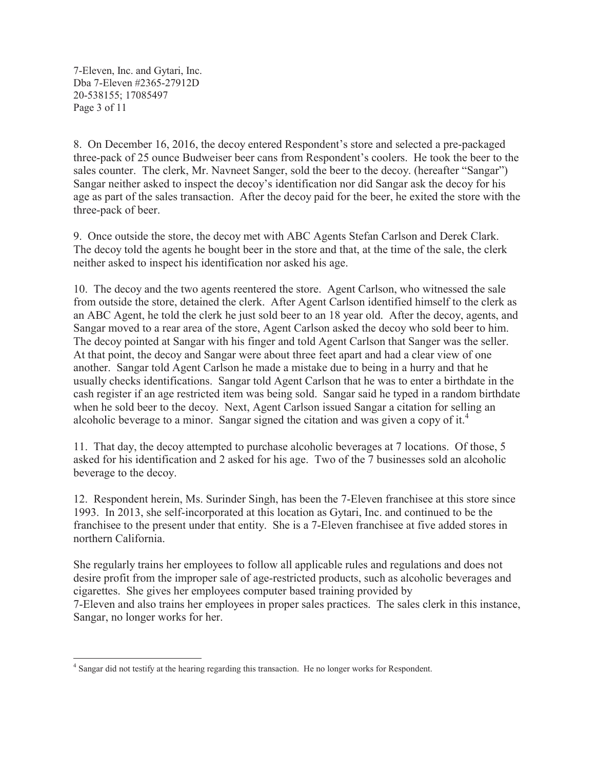7-Eleven, Inc. and Gytari, Inc. Dba 7-Eleven #2365-27912D 20-538155; 17085497 Page 3 of 11

8. On December 16, 2016, the decoy entered Respondent's store and selected a pre-packaged three-pack of 25 ounce Budweiser beer cans from Respondent's coolers. He took the beer to the sales counter. The clerk, Mr. Navneet Sanger, sold the beer to the decoy. (hereafter "Sangar") Sangar neither asked to inspect the decoy's identification nor did Sangar ask the decoy for his age as part of the sales transaction. After the decoy paid for the beer, he exited the store with the three-pack of beer.

9. Once outside the store, the decoy met with ABC Agents Stefan Carlson and Derek Clark. The decoy told the agents he bought beer in the store and that, at the time of the sale, the clerk neither asked to inspect his identification nor asked his age.

10. The decoy and the two agents reentered the store. Agent Carlson, who witnessed the sale from outside the store, detained the clerk. After Agent Carlson identified himself to the clerk as an ABC Agent, he told the clerk he just sold beer to an 18 year old. After the decoy, agents, and Sangar moved to a rear area of the store, Agent Carlson asked the decoy who sold beer to him. The decoy pointed at Sangar with his finger and told Agent Carlson that Sanger was the seller. At that point, the decoy and Sangar were about three feet apart and had a clear view of one another. Sangar told Agent Carlson he made a mistake due to being in a hurry and that he usually checks identifications. Sangar told Agent Carlson that he was to enter a birthdate in the cash register if an age restricted item was being sold. Sangar said he typed in a random birthdate when he sold beer to the decoy. Next, Agent Carlson issued Sangar a citation for selling an alcoholic beverage to a minor. Sangar signed the citation and was given a copy of it.<sup>4</sup>

11. That day, the decoy attempted to purchase alcoholic beverages at 7 locations. Of those, 5 asked for his identification and 2 asked for his age. Two of the 7 businesses sold an alcoholic beverage to the decoy.

12. Respondent herein, Ms. Surinder Singh, has been the 7-Eleven franchisee at this store since 1993. In 2013, she self-incorporated at this location as Gytari, Inc. and continued to be the franchisee to the present under that entity. She is a 7-Eleven franchisee at five added stores in northern California.

She regularly trains her employees to follow all applicable rules and regulations and does not desire profit from the improper sale of age-restricted products, such as alcoholic beverages and cigarettes. She gives her employees computer based training provided by 7-Eleven and also trains her employees in proper sales practices. The sales clerk in this instance, Sangar, no longer works for her.

<sup>&</sup>lt;sup>4</sup> Sangar did not testify at the hearing regarding this transaction. He no longer works for Respondent.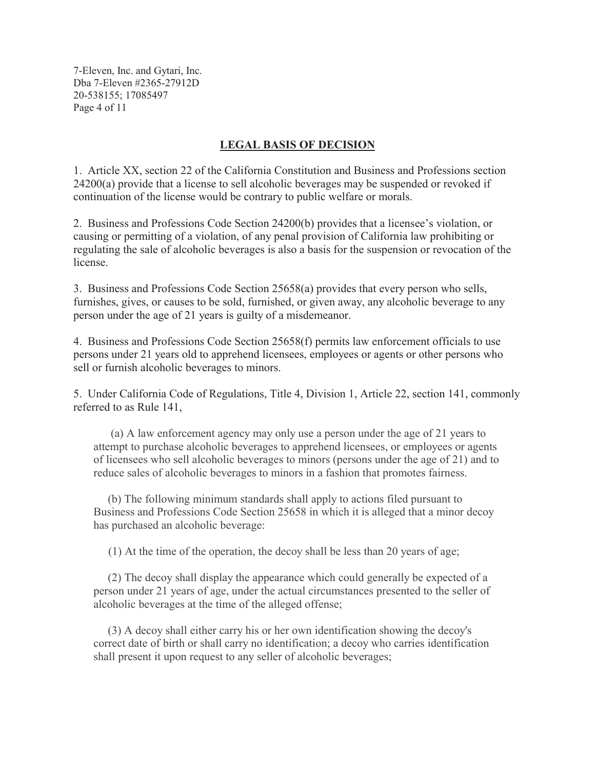7-Eleven, Inc. and Gytari, Inc. Dba 7-Eleven #2365-27912D 20-538155; 17085497 Page 4 of 11

### **LEGAL BASIS OF DECISION**

1. Article XX, section 22 of the California Constitution and Business and Professions section 24200(a) provide that a license to sell alcoholic beverages may be suspended or revoked if continuation of the license would be contrary to public welfare or morals.

2. Business and Professions Code Section 24200(b) provides that a licensee's violation, or causing or permitting of a violation, of any penal provision of California law prohibiting or regulating the sale of alcoholic beverages is also a basis for the suspension or revocation of the license.

3. Business and Professions Code Section 25658(a) provides that every person who sells, furnishes, gives, or causes to be sold, furnished, or given away, any alcoholic beverage to any person under the age of 21 years is guilty of a misdemeanor.

4. Business and Professions Code Section 25658(f) permits law enforcement officials to use persons under 21 years old to apprehend licensees, employees or agents or other persons who sell or furnish alcoholic beverages to minors.

5. Under California Code of Regulations, Title 4, Division 1, Article 22, section 141, commonly referred to as Rule 141,

(a) A law enforcement agency may only use a person under the age of 21 years to attempt to purchase alcoholic beverages to apprehend licensees, or employees or agents of licensees who sell alcoholic beverages to minors (persons under the age of 21) and to reduce sales of alcoholic beverages to minors in a fashion that promotes fairness.

(b) The following minimum standards shall apply to actions filed pursuant to Business and Professions Code Section 25658 in which it is alleged that a minor decoy has purchased an alcoholic beverage:

(1) At the time of the operation, the decoy shall be less than 20 years of age;

(2) The decoy shall display the appearance which could generally be expected of a person under 21 years of age, under the actual circumstances presented to the seller of alcoholic beverages at the time of the alleged offense;

(3) A decoy shall either carry his or her own identification showing the decoy's correct date of birth or shall carry no identification; a decoy who carries identification shall present it upon request to any seller of alcoholic beverages;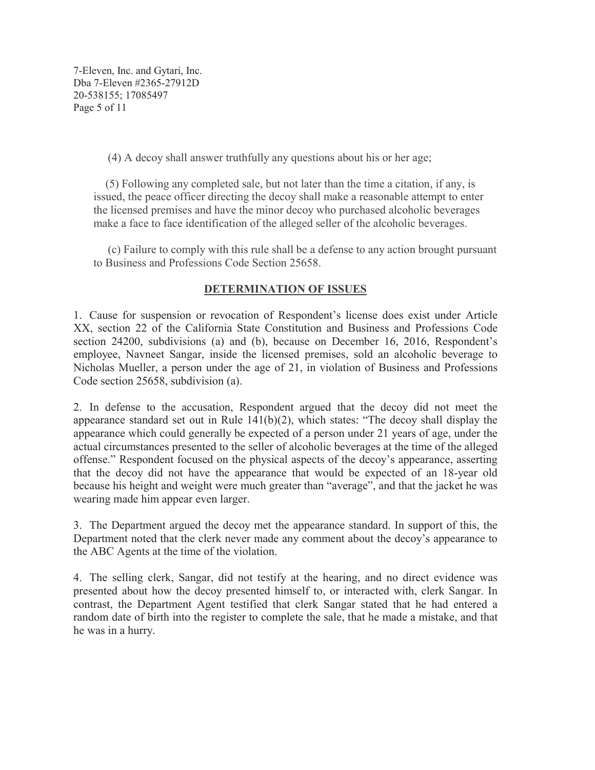7-Eleven, Inc. and Gytari, Inc. Dba 7-Eleven #2365-27912D 20-538155; 17085497 Page 5 of 11

(4) A decoy shall answer truthfully any questions about his or her age;

(5) Following any completed sale, but not later than the time a citation, if any, is issued, the peace officer directing the decoy shall make a reasonable attempt to enter the licensed premises and have the minor decoy who purchased alcoholic beverages make a face to face identification of the alleged seller of the alcoholic beverages.

(c) Failure to comply with this rule shall be a defense to any action brought pursuant to Business and Professions Code Section 25658.

#### **DETERMINATION OF ISSUES**

1. Cause for suspension or revocation of Respondent's license does exist under Article XX, section 22 of the California State Constitution and Business and Professions Code section 24200, subdivisions (a) and (b), because on December 16, 2016, Respondent's employee, Navneet Sangar, inside the licensed premises, sold an alcoholic beverage to Nicholas Mueller, a person under the age of 21, in violation of Business and Professions Code section 25658, subdivision (a).

2. In defense to the accusation, Respondent argued that the decoy did not meet the appearance standard set out in Rule 141(b)(2), which states: "The decoy shall display the appearance which could generally be expected of a person under 21 years of age, under the actual circumstances presented to the seller of alcoholic beverages at the time of the alleged offense." Respondent focused on the physical aspects of the decoy's appearance, asserting that the decoy did not have the appearance that would be expected of an 18-year old because his height and weight were much greater than "average", and that the jacket he was wearing made him appear even larger.

3. The Department argued the decoy met the appearance standard. In support of this, the Department noted that the clerk never made any comment about the decoy's appearance to the ABC Agents at the time of the violation.

4. The selling clerk, Sangar, did not testify at the hearing, and no direct evidence was presented about how the decoy presented himself to, or interacted with, clerk Sangar. In contrast, the Department Agent testified that clerk Sangar stated that he had entered a random date of birth into the register to complete the sale, that he made a mistake, and that he was in a hurry.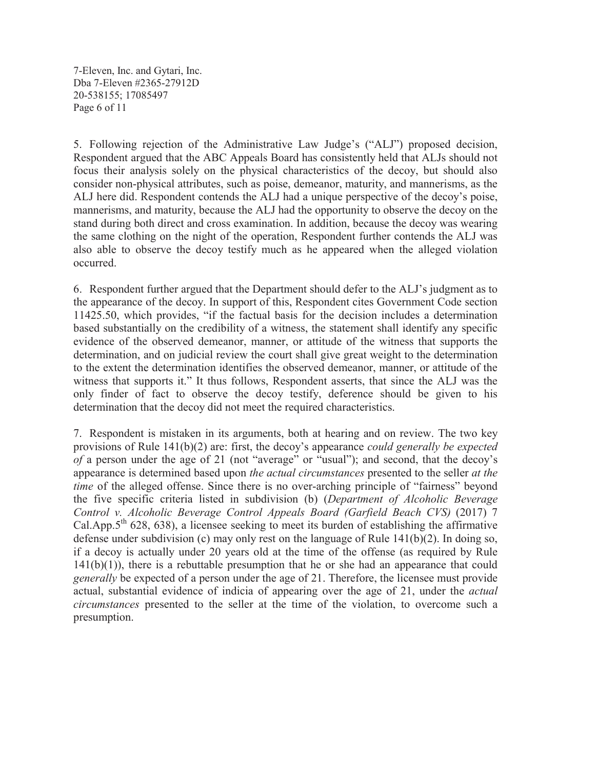7-Eleven, Inc. and Gytari, Inc. Dba 7-Eleven #2365-27912D 20-538155; 17085497 Page 6 of 11

5. Following rejection of the Administrative Law Judge's ("ALJ") proposed decision, Respondent argued that the ABC Appeals Board has consistently held that ALJs should not focus their analysis solely on the physical characteristics of the decoy, but should also consider non-physical attributes, such as poise, demeanor, maturity, and mannerisms, as the ALJ here did. Respondent contends the ALJ had a unique perspective of the decoy's poise, mannerisms, and maturity, because the ALJ had the opportunity to observe the decoy on the stand during both direct and cross examination. In addition, because the decoy was wearing the same clothing on the night of the operation, Respondent further contends the ALJ was also able to observe the decoy testify much as he appeared when the alleged violation occurred.

6. Respondent further argued that the Department should defer to the ALJ's judgment as to the appearance of the decoy. In support of this, Respondent cites Government Code section 11425.50, which provides, "if the factual basis for the decision includes a determination based substantially on the credibility of a witness, the statement shall identify any specific evidence of the observed demeanor, manner, or attitude of the witness that supports the determination, and on judicial review the court shall give great weight to the determination to the extent the determination identifies the observed demeanor, manner, or attitude of the witness that supports it." It thus follows, Respondent asserts, that since the ALJ was the only finder of fact to observe the decoy testify, deference should be given to his determination that the decoy did not meet the required characteristics.

7. Respondent is mistaken in its arguments, both at hearing and on review. The two key provisions of Rule 141(b)(2) are: first, the decoy's appearance *could generally be expected of* a person under the age of 21 (not "average" or "usual"); and second, that the decoy's appearance is determined based upon *the actual circumstances* presented to the seller *at the time* of the alleged offense. Since there is no over-arching principle of "fairness" beyond the five specific criteria listed in subdivision (b) (*Department of Alcoholic Beverage Control v. Alcoholic Beverage Control Appeals Board (Garfield Beach CVS)* (2017) 7 Cal.App. $5<sup>th</sup>$  628, 638), a licensee seeking to meet its burden of establishing the affirmative defense under subdivision (c) may only rest on the language of Rule 141(b)(2). In doing so, if a decoy is actually under 20 years old at the time of the offense (as required by Rule  $141(b)(1)$ ), there is a rebuttable presumption that he or she had an appearance that could *generally* be expected of a person under the age of 21. Therefore, the licensee must provide actual, substantial evidence of indicia of appearing over the age of 21, under the *actual circumstances* presented to the seller at the time of the violation, to overcome such a presumption.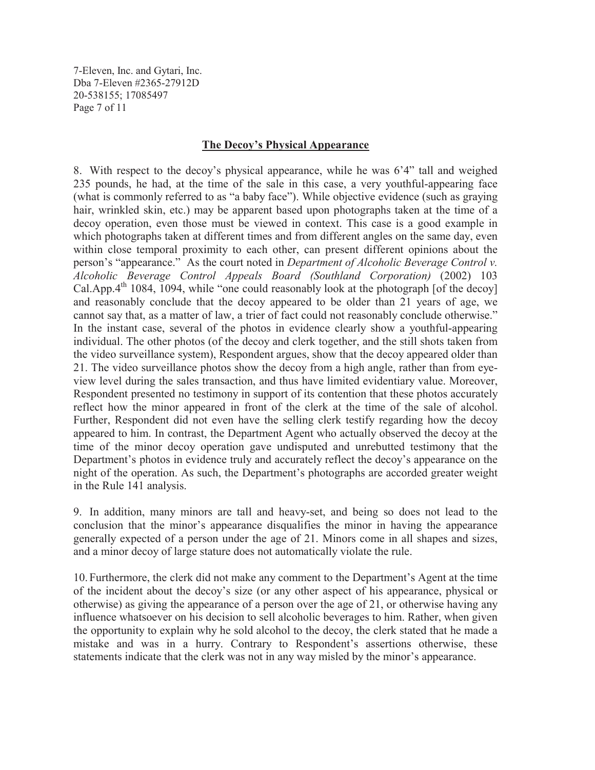7-Eleven, Inc. and Gytari, Inc. Dba 7-Eleven #2365-27912D 20-538155; 17085497 Page 7 of 11

#### **The Decoy's Physical Appearance**

8. With respect to the decoy's physical appearance, while he was 6'4" tall and weighed 235 pounds, he had, at the time of the sale in this case, a very youthful-appearing face (what is commonly referred to as "a baby face"). While objective evidence (such as graying hair, wrinkled skin, etc.) may be apparent based upon photographs taken at the time of a decoy operation, even those must be viewed in context. This case is a good example in which photographs taken at different times and from different angles on the same day, even within close temporal proximity to each other, can present different opinions about the person's "appearance." As the court noted in *Department of Alcoholic Beverage Control v. Alcoholic Beverage Control Appeals Board (Southland Corporation)* (2002) 103 Cal.App. $4<sup>th</sup>$  1084, 1094, while "one could reasonably look at the photograph [of the decoy] and reasonably conclude that the decoy appeared to be older than 21 years of age, we cannot say that, as a matter of law, a trier of fact could not reasonably conclude otherwise." In the instant case, several of the photos in evidence clearly show a youthful-appearing individual. The other photos (of the decoy and clerk together, and the still shots taken from the video surveillance system), Respondent argues, show that the decoy appeared older than 21. The video surveillance photos show the decoy from a high angle, rather than from eyeview level during the sales transaction, and thus have limited evidentiary value. Moreover, Respondent presented no testimony in support of its contention that these photos accurately reflect how the minor appeared in front of the clerk at the time of the sale of alcohol. Further, Respondent did not even have the selling clerk testify regarding how the decoy appeared to him. In contrast, the Department Agent who actually observed the decoy at the time of the minor decoy operation gave undisputed and unrebutted testimony that the Department's photos in evidence truly and accurately reflect the decoy's appearance on the night of the operation. As such, the Department's photographs are accorded greater weight in the Rule 141 analysis.

9. In addition, many minors are tall and heavy-set, and being so does not lead to the conclusion that the minor's appearance disqualifies the minor in having the appearance generally expected of a person under the age of 21. Minors come in all shapes and sizes, and a minor decoy of large stature does not automatically violate the rule.

10. Furthermore, the clerk did not make any comment to the Department's Agent at the time of the incident about the decoy's size (or any other aspect of his appearance, physical or otherwise) as giving the appearance of a person over the age of 21, or otherwise having any influence whatsoever on his decision to sell alcoholic beverages to him. Rather, when given the opportunity to explain why he sold alcohol to the decoy, the clerk stated that he made a mistake and was in a hurry. Contrary to Respondent's assertions otherwise, these statements indicate that the clerk was not in any way misled by the minor's appearance.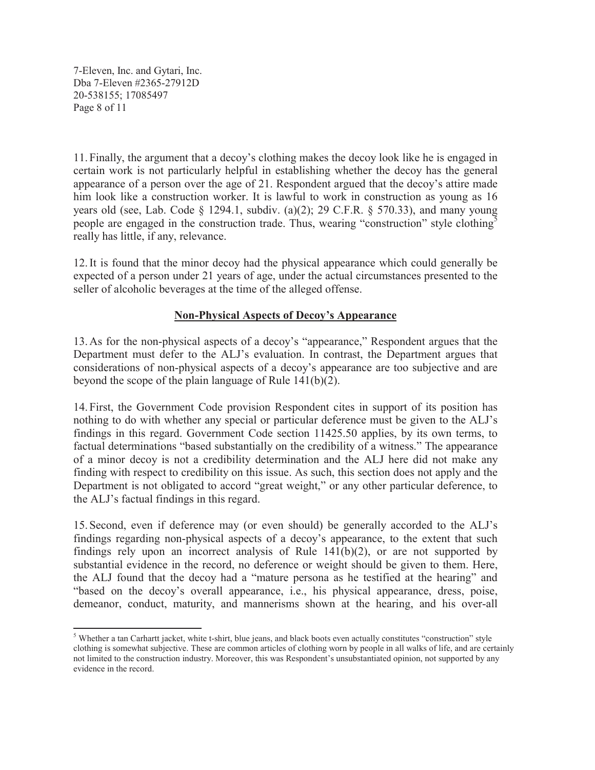7-Eleven, Inc. and Gytari, Inc. Dba 7-Eleven #2365-27912D 20-538155; 17085497 Page 8 of 11

11. Finally, the argument that a decoy's clothing makes the decoy look like he is engaged in certain work is not particularly helpful in establishing whether the decoy has the general appearance of a person over the age of 21. Respondent argued that the decoy's attire made him look like a construction worker. It is lawful to work in construction as young as 16 years old (see, Lab. Code  $\S$  1294.1, subdiv. (a)(2); 29 C.F.R.  $\S$  570.33), and many young people are engaged in the construction trade. Thus, wearing "construction" style clothing<sup>5</sup> really has little, if any, relevance.

12. It is found that the minor decoy had the physical appearance which could generally be expected of a person under 21 years of age, under the actual circumstances presented to the seller of alcoholic beverages at the time of the alleged offense.

# **Non-Physical Aspects of Decoy's Appearance**

13. As for the non-physical aspects of a decoy's "appearance," Respondent argues that the Department must defer to the ALJ's evaluation. In contrast, the Department argues that considerations of non-physical aspects of a decoy's appearance are too subjective and are beyond the scope of the plain language of Rule 141(b)(2).

14. First, the Government Code provision Respondent cites in support of its position has nothing to do with whether any special or particular deference must be given to the ALJ's findings in this regard. Government Code section 11425.50 applies, by its own terms, to factual determinations "based substantially on the credibility of a witness." The appearance of a minor decoy is not a credibility determination and the ALJ here did not make any finding with respect to credibility on this issue. As such, this section does not apply and the Department is not obligated to accord "great weight," or any other particular deference, to the ALJ's factual findings in this regard.

15. Second, even if deference may (or even should) be generally accorded to the ALJ's findings regarding non-physical aspects of a decoy's appearance, to the extent that such findings rely upon an incorrect analysis of Rule 141(b)(2), or are not supported by substantial evidence in the record, no deference or weight should be given to them. Here, the ALJ found that the decoy had a "mature persona as he testified at the hearing" and "based on the decoy's overall appearance, i.e., his physical appearance, dress, poise, demeanor, conduct, maturity, and mannerisms shown at the hearing, and his over-all

<sup>&</sup>lt;sup>5</sup> Whether a tan Carhartt jacket, white t-shirt, blue jeans, and black boots even actually constitutes "construction" style clothing is somewhat subjective. These are common articles of clothing worn by people in all walks of life, and are certainly not limited to the construction industry. Moreover, this was Respondent's unsubstantiated opinion, not supported by any evidence in the record.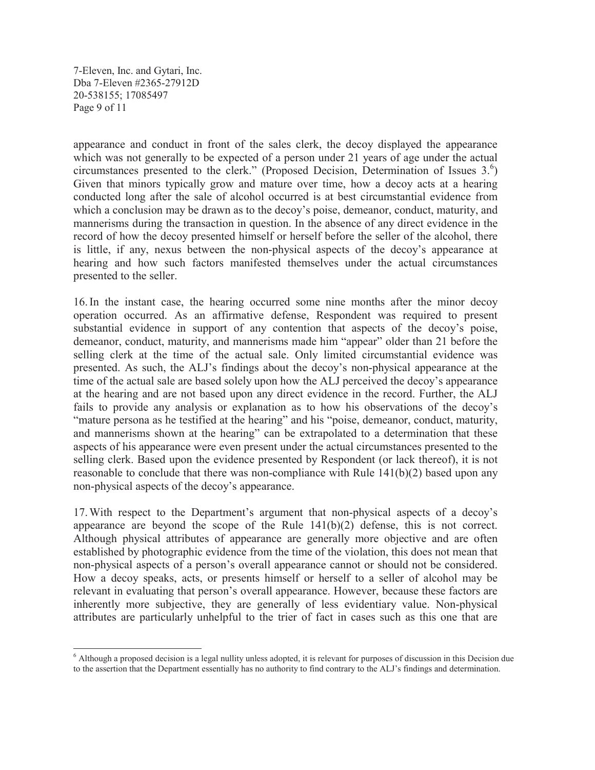7-Eleven, Inc. and Gytari, Inc. Dba 7-Eleven #2365-27912D 20-538155; 17085497 Page 9 of 11

appearance and conduct in front of the sales clerk, the decoy displayed the appearance which was not generally to be expected of a person under 21 years of age under the actual circumstances presented to the clerk." (Proposed Decision, Determination of Issues  $3.6$ ) Given that minors typically grow and mature over time, how a decoy acts at a hearing conducted long after the sale of alcohol occurred is at best circumstantial evidence from which a conclusion may be drawn as to the decoy's poise, demeanor, conduct, maturity, and mannerisms during the transaction in question. In the absence of any direct evidence in the record of how the decoy presented himself or herself before the seller of the alcohol, there is little, if any, nexus between the non-physical aspects of the decoy's appearance at hearing and how such factors manifested themselves under the actual circumstances presented to the seller.

16. In the instant case, the hearing occurred some nine months after the minor decoy operation occurred. As an affirmative defense, Respondent was required to present substantial evidence in support of any contention that aspects of the decoy's poise, demeanor, conduct, maturity, and mannerisms made him "appear" older than 21 before the selling clerk at the time of the actual sale. Only limited circumstantial evidence was presented. As such, the ALJ's findings about the decoy's non-physical appearance at the time of the actual sale are based solely upon how the ALJ perceived the decoy's appearance at the hearing and are not based upon any direct evidence in the record. Further, the ALJ fails to provide any analysis or explanation as to how his observations of the decoy's "mature persona as he testified at the hearing" and his "poise, demeanor, conduct, maturity, and mannerisms shown at the hearing" can be extrapolated to a determination that these aspects of his appearance were even present under the actual circumstances presented to the selling clerk. Based upon the evidence presented by Respondent (or lack thereof), it is not reasonable to conclude that there was non-compliance with Rule  $141(b)(2)$  based upon any non-physical aspects of the decoy's appearance.

17. With respect to the Department's argument that non-physical aspects of a decoy's appearance are beyond the scope of the Rule  $141(b)(2)$  defense, this is not correct. Although physical attributes of appearance are generally more objective and are often established by photographic evidence from the time of the violation, this does not mean that non-physical aspects of a person's overall appearance cannot or should not be considered. How a decoy speaks, acts, or presents himself or herself to a seller of alcohol may be relevant in evaluating that person's overall appearance. However, because these factors are inherently more subjective, they are generally of less evidentiary value. Non-physical attributes are particularly unhelpful to the trier of fact in cases such as this one that are

<sup>&</sup>lt;sup>6</sup> Although a proposed decision is a legal nullity unless adopted, it is relevant for purposes of discussion in this Decision due to the assertion that the Department essentially has no authority to find contrary to the ALJ's findings and determination.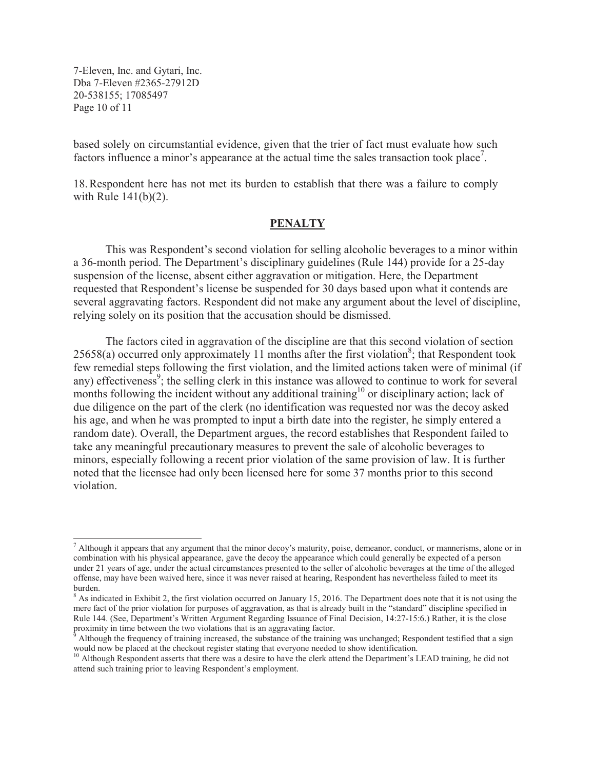7-Eleven, Inc. and Gytari, Inc. Dba 7-Eleven #2365-27912D 20-538155; 17085497 Page 10 of 11

based solely on circumstantial evidence, given that the trier of fact must evaluate how such factors influence a minor's appearance at the actual time the sales transaction took place<sup>7</sup>.

18. Respondent here has not met its burden to establish that there was a failure to comply with Rule 141(b)(2).

#### **PENALTY**

This was Respondent's second violation for selling alcoholic beverages to a minor within a 36-month period. The Department's disciplinary guidelines (Rule 144) provide for a 25-day suspension of the license, absent either aggravation or mitigation. Here, the Department requested that Respondent's license be suspended for 30 days based upon what it contends are several aggravating factors. Respondent did not make any argument about the level of discipline, relying solely on its position that the accusation should be dismissed.

The factors cited in aggravation of the discipline are that this second violation of section  $25658(a)$  occurred only approximately 11 months after the first violation<sup>8</sup>; that Respondent took few remedial steps following the first violation, and the limited actions taken were of minimal (if any) effectiveness<sup>9</sup>; the selling clerk in this instance was allowed to continue to work for several months following the incident without any additional training<sup>10</sup> or disciplinary action; lack of due diligence on the part of the clerk (no identification was requested nor was the decoy asked his age, and when he was prompted to input a birth date into the register, he simply entered a random date). Overall, the Department argues, the record establishes that Respondent failed to take any meaningful precautionary measures to prevent the sale of alcoholic beverages to minors, especially following a recent prior violation of the same provision of law. It is further noted that the licensee had only been licensed here for some 37 months prior to this second violation.

 $<sup>7</sup>$  Although it appears that any argument that the minor decoy's maturity, poise, demeanor, conduct, or mannerisms, alone or in</sup> combination with his physical appearance, gave the decoy the appearance which could generally be expected of a person under 21 years of age, under the actual circumstances presented to the seller of alcoholic beverages at the time of the alleged offense, may have been waived here, since it was never raised at hearing, Respondent has nevertheless failed to meet its burden.

 $8$  As indicated in Exhibit 2, the first violation occurred on January 15, 2016. The Department does note that it is not using the mere fact of the prior violation for purposes of aggravation, as that is already built in the "standard" discipline specified in Rule 144. (See, Department's Written Argument Regarding Issuance of Final Decision, 14:27-15:6.) Rather, it is the close proximity in time between the two violations that is an aggravating factor.

Although the frequency of training increased, the substance of the training was unchanged; Respondent testified that a sign would now be placed at the checkout register stating that everyone needed to show identification.

<sup>&</sup>lt;sup>10</sup> Although Respondent asserts that there was a desire to have the clerk attend the Department's LEAD training, he did not attend such training prior to leaving Respondent's employment.